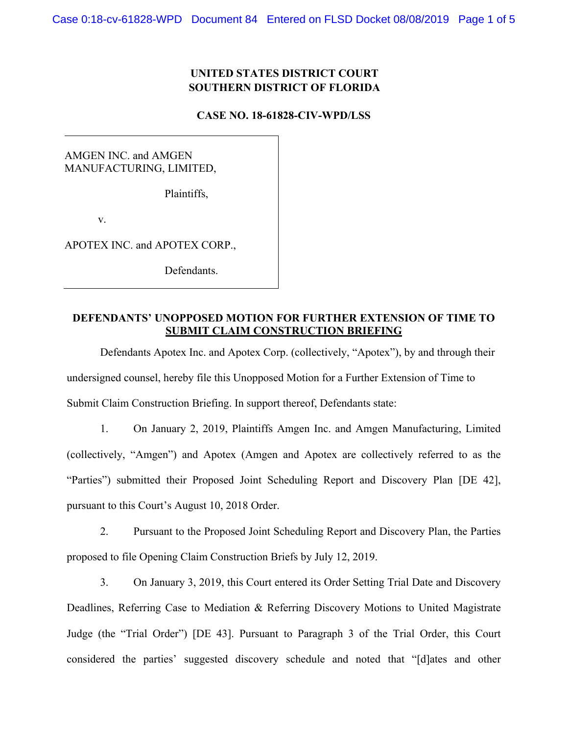## **UNITED STATES DISTRICT COURT SOUTHERN DISTRICT OF FLORIDA**

#### **CASE NO. 18-61828-CIV-WPD/LSS**

AMGEN INC. and AMGEN MANUFACTURING, LIMITED,

Plaintiffs,

v.

APOTEX INC. and APOTEX CORP.,

Defendants.

#### **DEFENDANTS' UNOPPOSED MOTION FOR FURTHER EXTENSION OF TIME TO SUBMIT CLAIM CONSTRUCTION BRIEFING**

Defendants Apotex Inc. and Apotex Corp. (collectively, "Apotex"), by and through their undersigned counsel, hereby file this Unopposed Motion for a Further Extension of Time to Submit Claim Construction Briefing. In support thereof, Defendants state:

1. On January 2, 2019, Plaintiffs Amgen Inc. and Amgen Manufacturing, Limited (collectively, "Amgen") and Apotex (Amgen and Apotex are collectively referred to as the "Parties") submitted their Proposed Joint Scheduling Report and Discovery Plan [DE 42], pursuant to this Court's August 10, 2018 Order.

2. Pursuant to the Proposed Joint Scheduling Report and Discovery Plan, the Parties proposed to file Opening Claim Construction Briefs by July 12, 2019.

3. On January 3, 2019, this Court entered its Order Setting Trial Date and Discovery Deadlines, Referring Case to Mediation & Referring Discovery Motions to United Magistrate Judge (the "Trial Order") [DE 43]. Pursuant to Paragraph 3 of the Trial Order, this Court considered the parties' suggested discovery schedule and noted that "[d]ates and other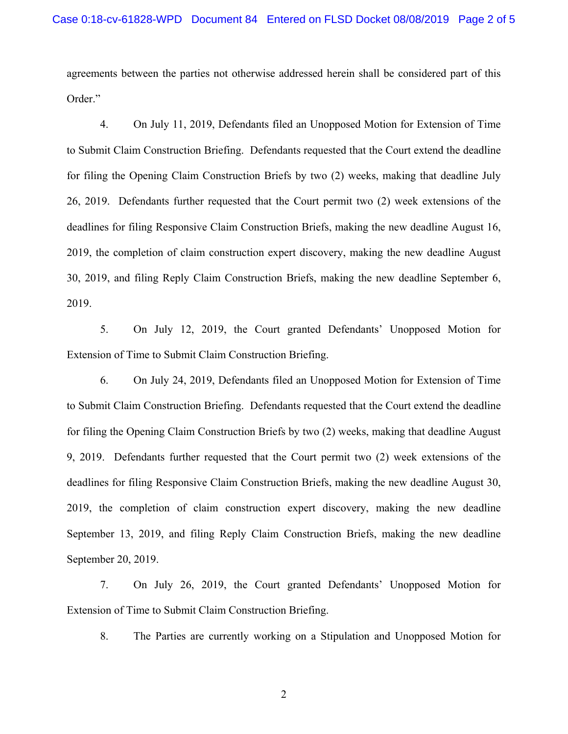agreements between the parties not otherwise addressed herein shall be considered part of this Order."

4. On July 11, 2019, Defendants filed an Unopposed Motion for Extension of Time to Submit Claim Construction Briefing. Defendants requested that the Court extend the deadline for filing the Opening Claim Construction Briefs by two (2) weeks, making that deadline July 26, 2019. Defendants further requested that the Court permit two (2) week extensions of the deadlines for filing Responsive Claim Construction Briefs, making the new deadline August 16, 2019, the completion of claim construction expert discovery, making the new deadline August 30, 2019, and filing Reply Claim Construction Briefs, making the new deadline September 6, 2019.

5. On July 12, 2019, the Court granted Defendants' Unopposed Motion for Extension of Time to Submit Claim Construction Briefing.

6. On July 24, 2019, Defendants filed an Unopposed Motion for Extension of Time to Submit Claim Construction Briefing. Defendants requested that the Court extend the deadline for filing the Opening Claim Construction Briefs by two (2) weeks, making that deadline August 9, 2019. Defendants further requested that the Court permit two (2) week extensions of the deadlines for filing Responsive Claim Construction Briefs, making the new deadline August 30, 2019, the completion of claim construction expert discovery, making the new deadline September 13, 2019, and filing Reply Claim Construction Briefs, making the new deadline September 20, 2019.

7. On July 26, 2019, the Court granted Defendants' Unopposed Motion for Extension of Time to Submit Claim Construction Briefing.

8. The Parties are currently working on a Stipulation and Unopposed Motion for

2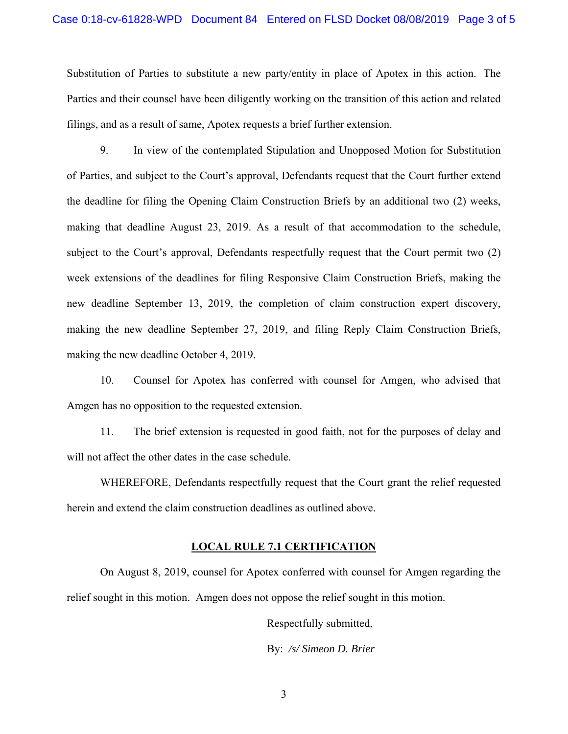Substitution of Parties to substitute a new party/entity in place of Apotex in this action. The Parties and their counsel have been diligently working on the transition of this action and related filings, and as a result of same, Apotex requests a brief further extension.

9. In view of the contemplated Stipulation and Unopposed Motion for Substitution of Parties, and subject to the Court's approval, Defendants request that the Court further extend the deadline for filing the Opening Claim Construction Briefs by an additional two (2) weeks, making that deadline August 23, 2019. As a result of that accommodation to the schedule, subject to the Court's approval, Defendants respectfully request that the Court permit two (2) week extensions of the deadlines for filing Responsive Claim Construction Briefs, making the new deadline September 13, 2019, the completion of claim construction expert discovery, making the new deadline September 27, 2019, and filing Reply Claim Construction Briefs, making the new deadline October 4, 2019.

10. Counsel for Apotex has conferred with counsel for Amgen, who advised that Amgen has no opposition to the requested extension.

11. The brief extension is requested in good faith, not for the purposes of delay and will not affect the other dates in the case schedule.

WHEREFORE, Defendants respectfully request that the Court grant the relief requested herein and extend the claim construction deadlines as outlined above.

### **LOCAL RULE 7.1 CERTIFICATION**

On August 8, 2019, counsel for Apotex conferred with counsel for Amgen regarding the relief sought in this motion. Amgen does not oppose the relief sought in this motion.

Respectfully submitted,

By: */s/ Simeon D. Brier* 

3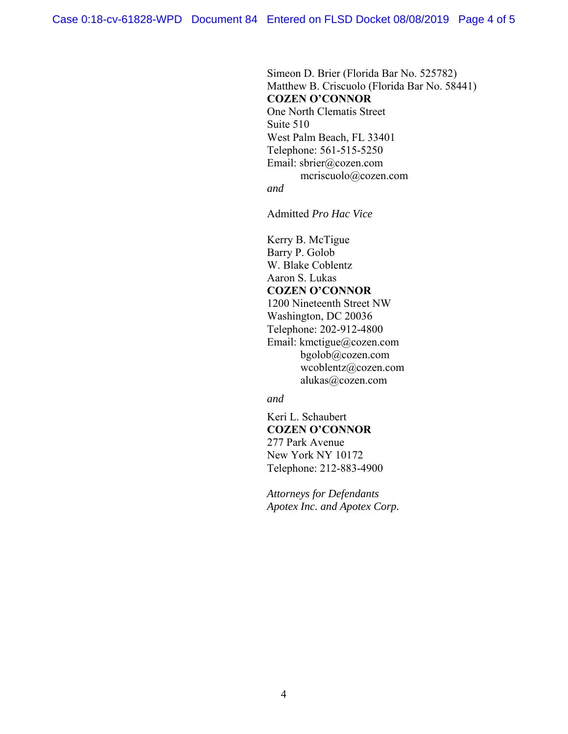Simeon D. Brier (Florida Bar No. 525782) Matthew B. Criscuolo (Florida Bar No. 58441) **COZEN O'CONNOR**  One North Clematis Street Suite 510 West Palm Beach, FL 33401 Telephone: 561-515-5250 Email: sbrier@cozen.com mcriscuolo@cozen.com *and* 

Admitted *Pro Hac Vice*

Kerry B. McTigue Barry P. Golob W. Blake Coblentz Aaron S. Lukas **COZEN O'CONNOR**  1200 Nineteenth Street NW Washington, DC 20036 Telephone: 202-912-4800 Email: kmctigue@cozen.com bgolob@cozen.com wcoblentz@cozen.com alukas@cozen.com

*and* 

Keri L. Schaubert **COZEN O'CONNOR**  277 Park Avenue New York NY 10172 Telephone: 212-883-4900

*Attorneys for Defendants Apotex Inc. and Apotex Corp.*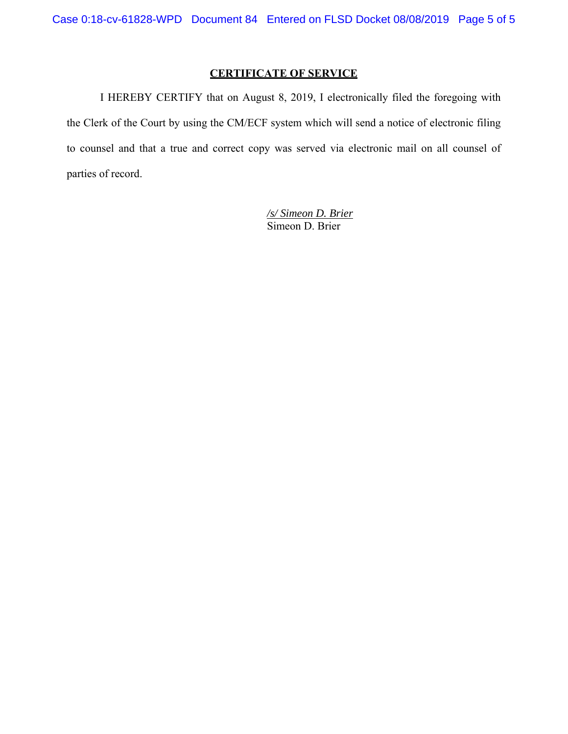# **CERTIFICATE OF SERVICE**

I HEREBY CERTIFY that on August 8, 2019, I electronically filed the foregoing with the Clerk of the Court by using the CM/ECF system which will send a notice of electronic filing to counsel and that a true and correct copy was served via electronic mail on all counsel of parties of record.

> */s/ Simeon D. Brier*  Simeon D. Brier